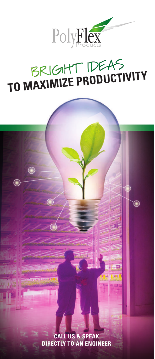

# BRIGHT IDEAS **TO MAXIMIZE PRODUCTIVITY** BRIGHT IDEAS **TO MAXIMIZE PRODUCTIVITY** BRIGHT IDEAS **TO MAXIMIZE PRODUCTIVITY**

 $\bigcirc$ 

**CALL US & SPEAK CALL US & SPEAK CALL US & SPEAK DIRECTLY TO AN ENGINEER DIRECTLY TO AN ENGINEER DIRECTLY TO AN ENGINEER**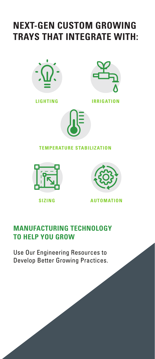# **NEXT-GEN CUSTOM GROWING TRAYS THAT INTEGRATE WITH: TRAYS THAT INTEGRATE WITH: TRAYS THAT INTEGRATE WITH:**





**LIGHTING IRRIGATION LIGHTING IRRIGATION LIGHTING IRRIGATION**



#### **TEMPERATURE STABILIZATION TEMPERATURE STABILIZATION TEMPERATURE STABILIZATION**





**SIZING AUTOMATION SIZING AUTOMATION SIZING AUTOMATION**

## **MANUFACTURING TECHNOLOGY MANUFACTURING TECHNOLOGY MANUFACTURING TECHNOLOGY TO HELP YOU GROW TO HELP YOU GROW TO HELP YOU GROW**

Use Our Engineering Resources to Use Our Engineering Resources to Use Our Engineering Resources to Develop Better Growing Practices. Develop Better Growing Practices. Develop Better Growing Practices.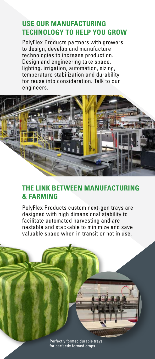### **USE OUR MANUFACTURING USE OUR MANUFACTURING USE OUR MANUFACTURING TECHNOLOGY TO HELP YOU GROW TECHNOLOGY TO HELP YOU GROW TECHNOLOGY TO HELP YOU GROW**

PolyFlex Products partners with growers PolyFlex Products partners with growers PolyFlex Products partners with growers to design, develop and manufacture to design, develop and manufacture to design, develop and manufacture technologies to increase production. technologies to increase production. technologies to increase production. Design and engineering take space, Design and engineering take space, Design and engineering take space, lighting, irrigation, automation, sizing, lighting, irrigation, automation, sizing, lighting, irrigation, automation, sizing, temperature stabilization and durability temperature stabilization and durability temperature stabilization and durability for reuse into consideration. Talk to our for reuse into consideration. Talk to our for reuse into consideration. Talk to our engineers. engineers.



#### **THE LINK BETWEEN MANUFACTURING THE LINK BETWEEN MANUFACTURING THE LINK BETWEEN MANUFACTURING & FARMING & FARMING & FARMING**

PolyFlex Products custom next-gen trays are PolyFlex Products custom next-gen trays are PolyFlex Products custom next-gen trays are designed with high dimensional stability to designed with high dimensional stability to designed with high dimensional stability to facilitate automated harvesting and are facilitate automated harvesting and are facilitate automated harvesting and are nestable and stackable to minimize and save nestable and stackable to minimize and save nestable and stackable to minimize and save valuable space when in transit or not in use. valuable space when in transit or not in use. valuable space when in transit or not in use.

> Perfectly formed durable trays Perfectly formed durable trays Perfectly formed durable trays for perfectly formed crops. for perfectly formed crops. for perfectly formed crops.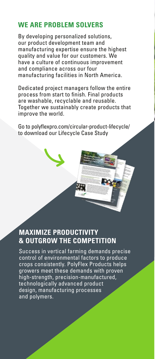## **WE ARE PROBLEM SOLVERS WE ARE PROBLEM SOLVERS WE ARE PROBLEM SOLVERS**

By developing personalized solutions, By developing personalized solutions, By developing personalized solutions, our product development team and our product development team and our product development team and manufacturing expertise ensure the highest manufacturing expertise ensure the highest manufacturing expertise ensure the highest quality and value for our customers. We quality and value for our customers. We quality and value for our customers. We have a culture of continuous improvement have a culture of continuous improvement have a culture of continuous improvement and compliance across our four and compliance across our four and compliance across our four manufacturing facilities in North America. manufacturing facilities in North America. manufacturing facilities in North America.

Dedicated project managers follow the entire Dedicated project managers follow the entire Dedicated project managers follow the entire process from start to finish. Final products process from start to finish. Final products process from start to finish. Final products are washable, recyclable and reusable. are washable, recyclable and reusable. are washable, recyclable and reusable. Together we sustainably create products that Together we sustainably create products that Together we sustainably create products that improve the world. improve the world. improve the world.

Go to polyflexpro.com/circular-product-lifecycle/ Go to polyflexpro.com/circular-product-lifecycle/ Go to polyflexpro.com/circular-product-lifecycle/ to download our Lifecycle Case Study to download our Lifecycle Case Study to download our Lifecycle Case Study

## **MAXIMIZE PRODUCTIVITY MAXIMIZE PRODUCTIVITY MAXIMIZE PRODUCTIVITY & OUTGROW THE COMPETITION & OUTGROW THE COMPETITION & OUTGROW THE COMPETITION**

Success in vertical farming demands precise Success in vertical farming demands precise Success in vertical farming demands precise control of environmental factors to produce control of environmental factors to produce control of environmental factors to produce crops consistently. PolyFlex Products helps crops consistently. PolyFlex Products helps crops consistently. PolyFlex Products helps growers meet these demands with proven growers meet these demands with proven growers meet these demands with proven high-strength, precision-manufactured, high-strength, precision-manufactured, high-strength, precision-manufactured, technologically advanced product technologically advanced product technologically advanced product design, manufacturing processes design, manufacturing processes design, manufacturing processes and polymers. and polymers. and polymers.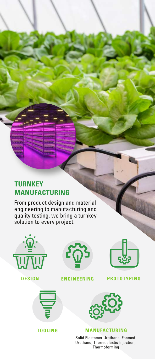## **TURNKEY TURNKEY MANUFACTURING MANUFACTURING MANUFACTURING**

From product design and material From product design and material From product design and material engineering to manufacturing and engineering to manufacturing and engineering to manufacturing and quality testing, we bring a turnkey quality testing, we bring a turnkey quality testing, we bring a turnkey solution to every project. solution to every project. solution to every project.



**DESIGN**



**TOOLING TOOLING**



**IGN** ENGINEERING PROTO



#### **ENGINEERING PROTOTYPING**



#### **MANUFACTURING MANUFACTURING MANUFACTURING**

Solid Elastomer Urethane, Foamed Solid Elastomer Urethane, Foamed Solid Elastomer Urethane, Foamed Urethane, Thermoplastic Injection, Urethane, Thermoplastic Injection, Urethane, Thermoplastic Injection, Thermoforming Thermoforming